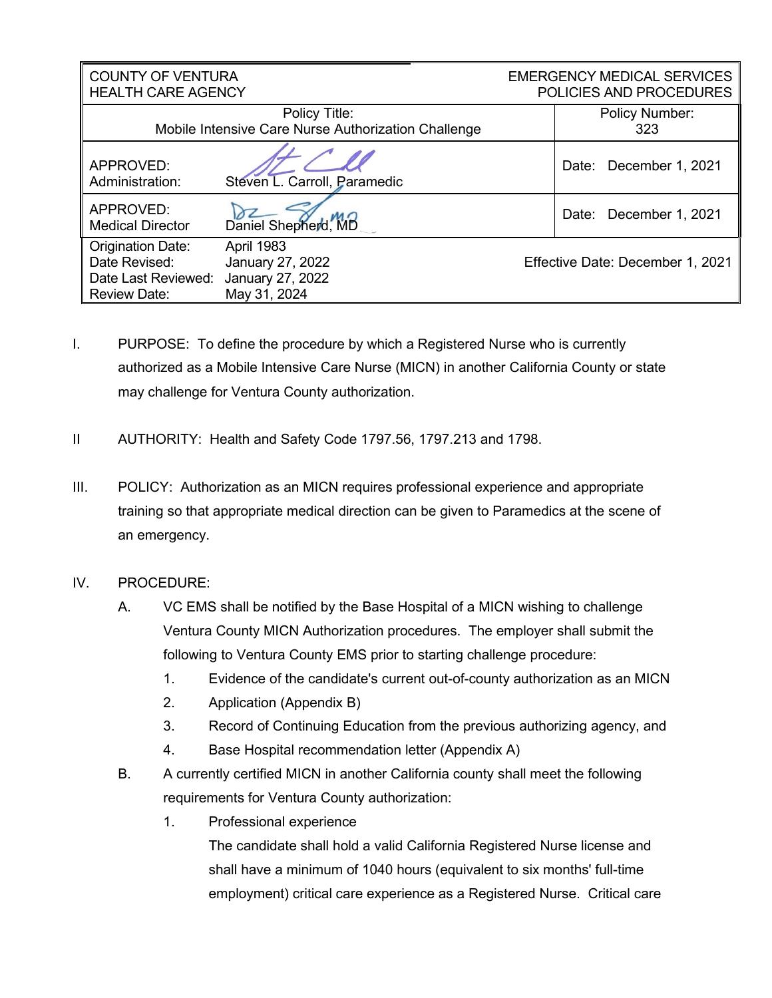| <b>COUNTY OF VENTURA</b><br><b>HEALTH CARE AGENCY</b>                                   |                                                                           |  | <b>EMERGENCY MEDICAL SERVICES</b><br>POLICIES AND PROCEDURES |  |  |
|-----------------------------------------------------------------------------------------|---------------------------------------------------------------------------|--|--------------------------------------------------------------|--|--|
| Policy Title:<br>Mobile Intensive Care Nurse Authorization Challenge                    |                                                                           |  | Policy Number:<br>323                                        |  |  |
| APPROVED:<br>Administration:                                                            | Steven L. Carroll, Paramedic                                              |  | December 1, 2021<br>Date:                                    |  |  |
| APPROVED:<br><b>Medical Director</b>                                                    | Daniel Shepherd, MD                                                       |  | Date: December 1, 2021                                       |  |  |
| <b>Origination Date:</b><br>Date Revised:<br>Date Last Reviewed:<br><b>Review Date:</b> | <b>April 1983</b><br>January 27, 2022<br>January 27, 2022<br>May 31, 2024 |  | Effective Date: December 1, 2021                             |  |  |

- I. PURPOSE: To define the procedure by which a Registered Nurse who is currently authorized as a Mobile Intensive Care Nurse (MICN) in another California County or state may challenge for Ventura County authorization.
- II AUTHORITY: Health and Safety Code 1797.56, 1797.213 and 1798.
- III. POLICY: Authorization as an MICN requires professional experience and appropriate training so that appropriate medical direction can be given to Paramedics at the scene of an emergency.

#### IV. PROCEDURE:

- A. VC EMS shall be notified by the Base Hospital of a MICN wishing to challenge Ventura County MICN Authorization procedures. The employer shall submit the following to Ventura County EMS prior to starting challenge procedure:
	- 1. Evidence of the candidate's current out-of-county authorization as an MICN
	- 2. Application (Appendix B)
	- 3. Record of Continuing Education from the previous authorizing agency, and
	- 4. Base Hospital recommendation letter (Appendix A)
- B. A currently certified MICN in another California county shall meet the following requirements for Ventura County authorization:
	- 1. Professional experience

The candidate shall hold a valid California Registered Nurse license and shall have a minimum of 1040 hours (equivalent to six months' full-time employment) critical care experience as a Registered Nurse. Critical care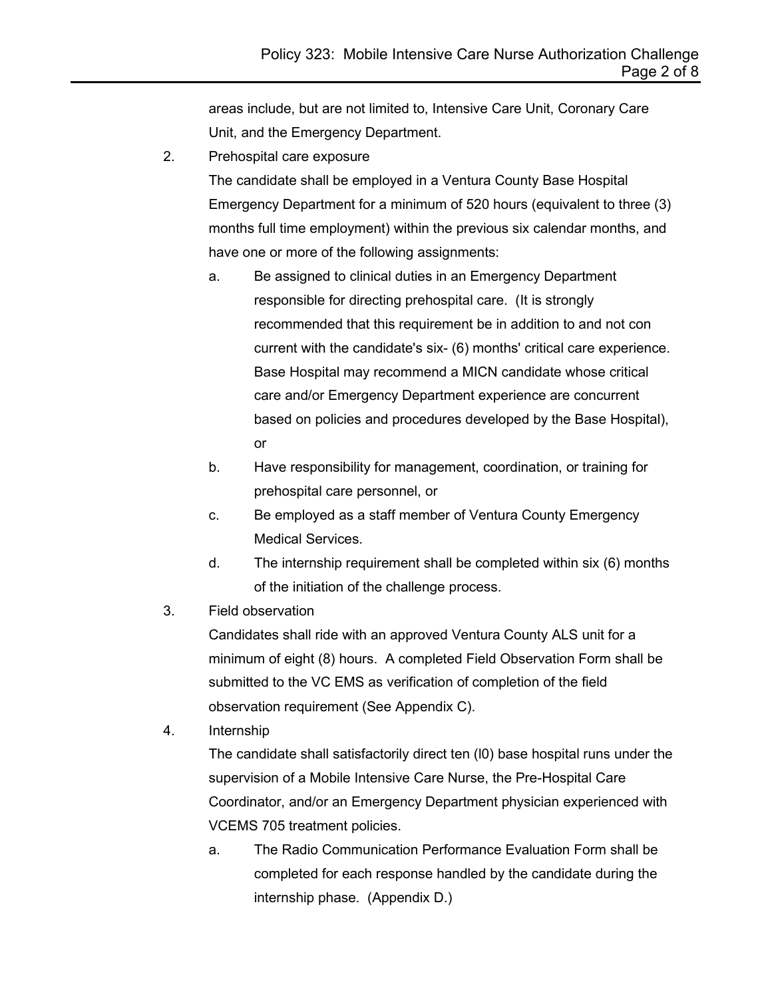areas include, but are not limited to, Intensive Care Unit, Coronary Care Unit, and the Emergency Department.

2. Prehospital care exposure

The candidate shall be employed in a Ventura County Base Hospital Emergency Department for a minimum of 520 hours (equivalent to three (3) months full time employment) within the previous six calendar months, and have one or more of the following assignments:

- a. Be assigned to clinical duties in an Emergency Department responsible for directing prehospital care. (It is strongly recommended that this requirement be in addition to and not con current with the candidate's six- (6) months' critical care experience. Base Hospital may recommend a MICN candidate whose critical care and/or Emergency Department experience are concurrent based on policies and procedures developed by the Base Hospital), or
- b. Have responsibility for management, coordination, or training for prehospital care personnel, or
- c. Be employed as a staff member of Ventura County Emergency Medical Services.
- d. The internship requirement shall be completed within six (6) months of the initiation of the challenge process.
- 3. Field observation

Candidates shall ride with an approved Ventura County ALS unit for a minimum of eight (8) hours. A completed Field Observation Form shall be submitted to the VC EMS as verification of completion of the field observation requirement (See Appendix C).

4. Internship

The candidate shall satisfactorily direct ten (l0) base hospital runs under the supervision of a Mobile Intensive Care Nurse, the Pre-Hospital Care Coordinator, and/or an Emergency Department physician experienced with VCEMS 705 treatment policies.

a. The Radio Communication Performance Evaluation Form shall be completed for each response handled by the candidate during the internship phase. (Appendix D.)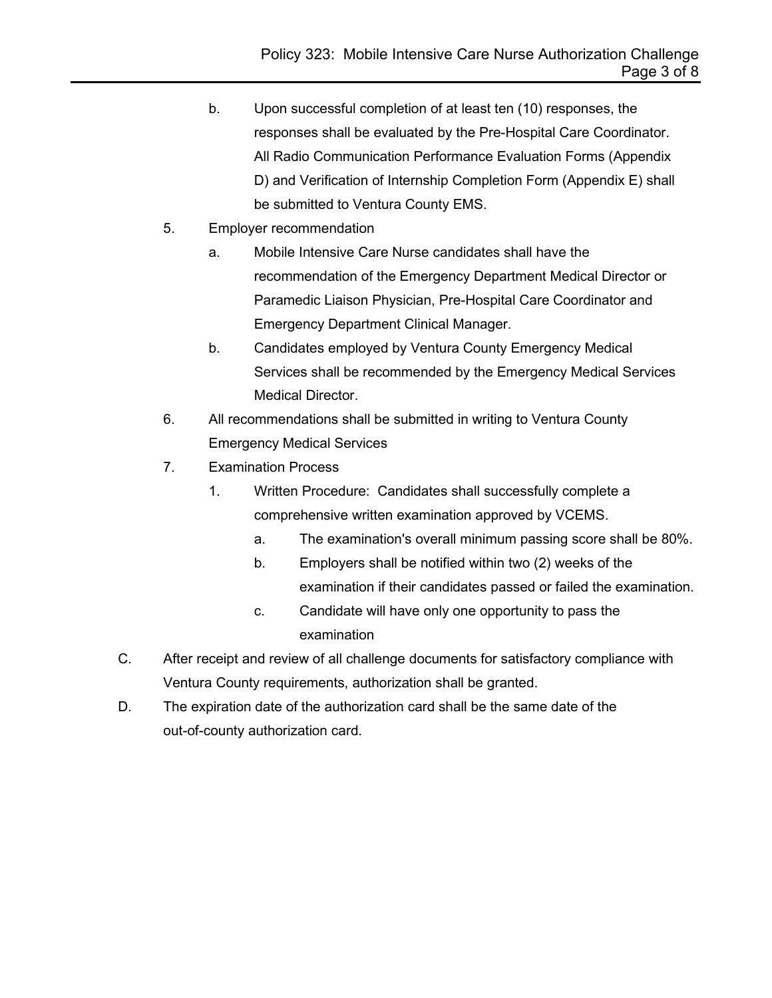- b. Upon successful completion of at least ten (10) responses, the responses shall be evaluated by the Pre-Hospital Care Coordinator. All Radio Communication Performance Evaluation Forms (Appendix D) and Verification of Internship Completion Form (Appendix E) shall be submitted to Ventura County EMS.
- 5. Employer recommendation
	- a. Mobile Intensive Care Nurse candidates shall have the recommendation of the Emergency Department Medical Director or Paramedic Liaison Physician, Pre-Hospital Care Coordinator and Emergency Department Clinical Manager.
	- b. Candidates employed by Ventura County Emergency Medical Services shall be recommended by the Emergency Medical Services Medical Director.
- 6. All recommendations shall be submitted in writing to Ventura County Emergency Medical Services
- 7. Examination Process
	- 1. Written Procedure: Candidates shall successfully complete a comprehensive written examination approved by VCEMS.
		- a. The examination's overall minimum passing score shall be 80%.
		- b. Employers shall be notified within two (2) weeks of the examination if their candidates passed or failed the examination.
		- c. Candidate will have only one opportunity to pass the examination
- C. After receipt and review of all challenge documents for satisfactory compliance with Ventura County requirements, authorization shall be granted.
- D. The expiration date of the authorization card shall be the same date of the out-of-county authorization card.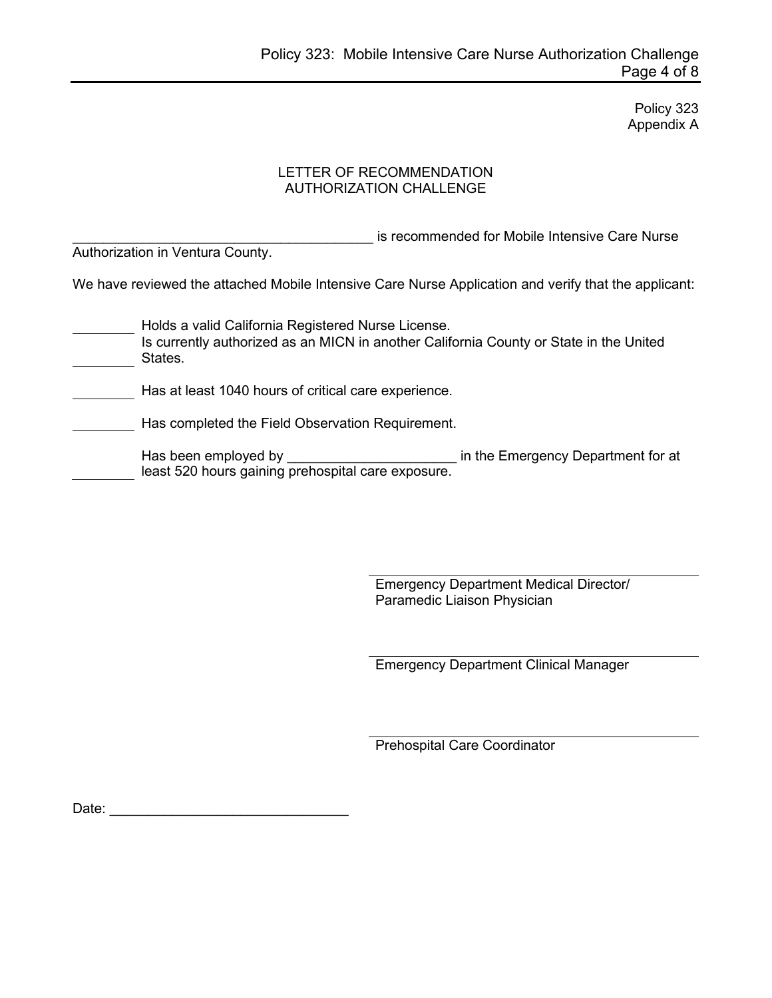Policy 323 Appendix A

#### LETTER OF RECOMMENDATION AUTHORIZATION CHALLENGE

is recommended for Mobile Intensive Care Nurse

Authorization in Ventura County.

We have reviewed the attached Mobile Intensive Care Nurse Application and verify that the applicant:

| Holds a valid California Registered Nurse License.<br>Is currently authorized as an MICN in another California County or State in the United<br>States. |                                    |
|---------------------------------------------------------------------------------------------------------------------------------------------------------|------------------------------------|
| Has at least 1040 hours of critical care experience.                                                                                                    |                                    |
| Has completed the Field Observation Requirement.                                                                                                        |                                    |
| Has been employed by<br>least 520 hours gaining prehospital care exposure.                                                                              | in the Emergency Department for at |

Emergency Department Medical Director/ Paramedic Liaison Physician

Emergency Department Clinical Manager

Prehospital Care Coordinator

Date: \_\_\_\_\_\_\_\_\_\_\_\_\_\_\_\_\_\_\_\_\_\_\_\_\_\_\_\_\_\_\_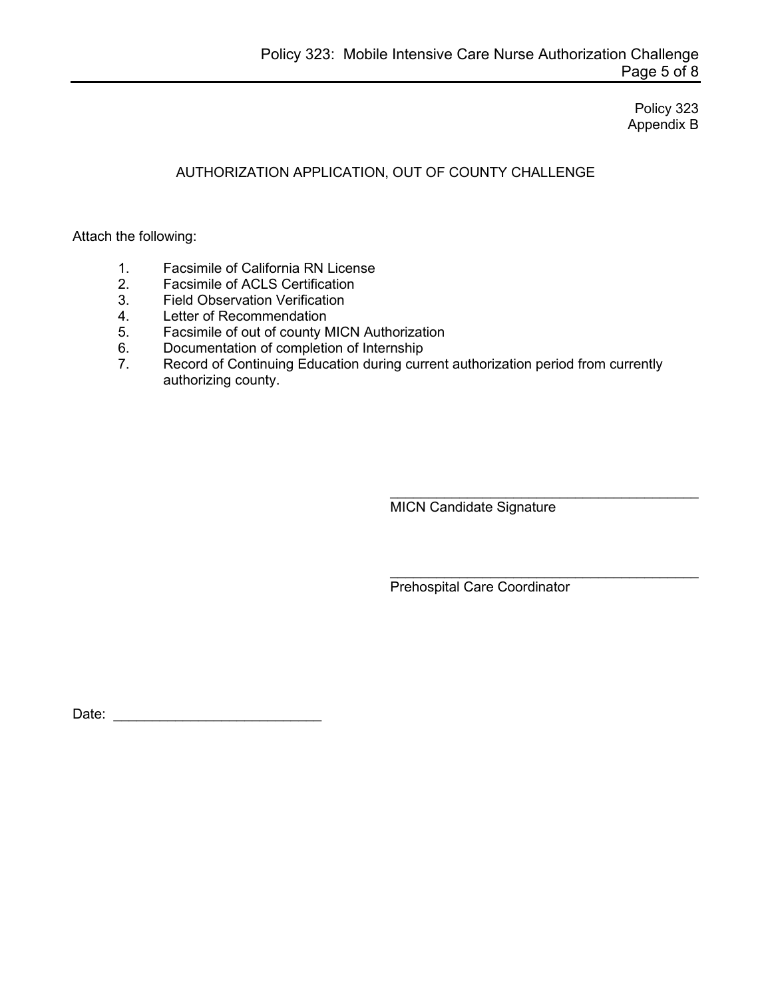Policy 323 Appendix B

#### AUTHORIZATION APPLICATION, OUT OF COUNTY CHALLENGE

Attach the following:

- 1. Facsimile of California RN License<br>2. Facsimile of ACLS Certification
- 2. Facsimile of ACLS Certification<br>3. Field Observation Verification
- 3. Field Observation Verification<br>4. Letter of Recommendation
- Letter of Recommendation
- 5. Facsimile of out of county MICN Authorization
- 6. Documentation of completion of Internship
- 7. Record of Continuing Education during current authorization period from currently authorizing county.

\_\_\_\_\_\_\_\_\_\_\_\_\_\_\_\_\_\_\_\_\_\_\_\_\_\_\_\_\_\_\_\_\_\_\_\_\_\_\_\_ MICN Candidate Signature

\_\_\_\_\_\_\_\_\_\_\_\_\_\_\_\_\_\_\_\_\_\_\_\_\_\_\_\_\_\_\_\_\_\_\_\_\_\_\_\_ Prehospital Care Coordinator

Date: \_\_\_\_\_\_\_\_\_\_\_\_\_\_\_\_\_\_\_\_\_\_\_\_\_\_\_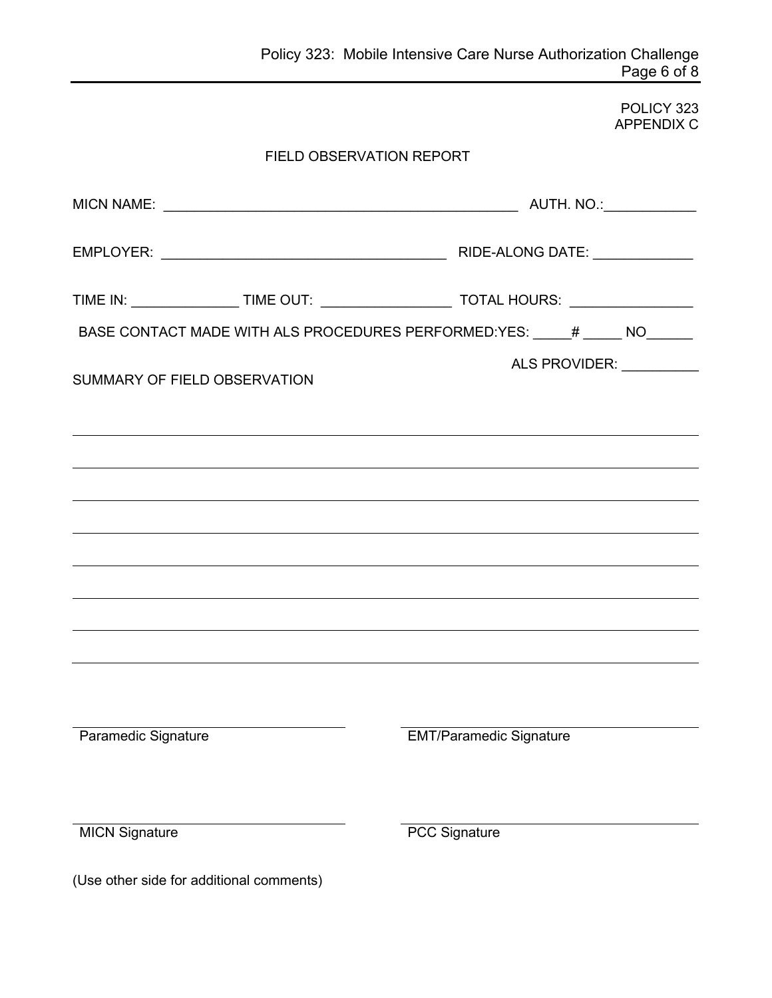POLICY 323 APPENDIX C

|                                          | TIME IN: _________________TIME OUT: __________________________TOTAL HOURS: ________________________ |
|------------------------------------------|-----------------------------------------------------------------------------------------------------|
|                                          | BASE CONTACT MADE WITH ALS PROCEDURES PERFORMED:YES: ____ # _____ NO______                          |
| SUMMARY OF FIELD OBSERVATION             | ALS PROVIDER: _________                                                                             |
|                                          |                                                                                                     |
|                                          |                                                                                                     |
|                                          | <u> 1989 - Andrea Andrew Maria (h. 1989).</u>                                                       |
|                                          |                                                                                                     |
|                                          |                                                                                                     |
| <b>Paramedic Signature</b>               | <b>EMT/Paramedic Signature</b>                                                                      |
| <b>MICN Signature</b>                    | <b>PCC Signature</b>                                                                                |
| (Use other side for additional comments) |                                                                                                     |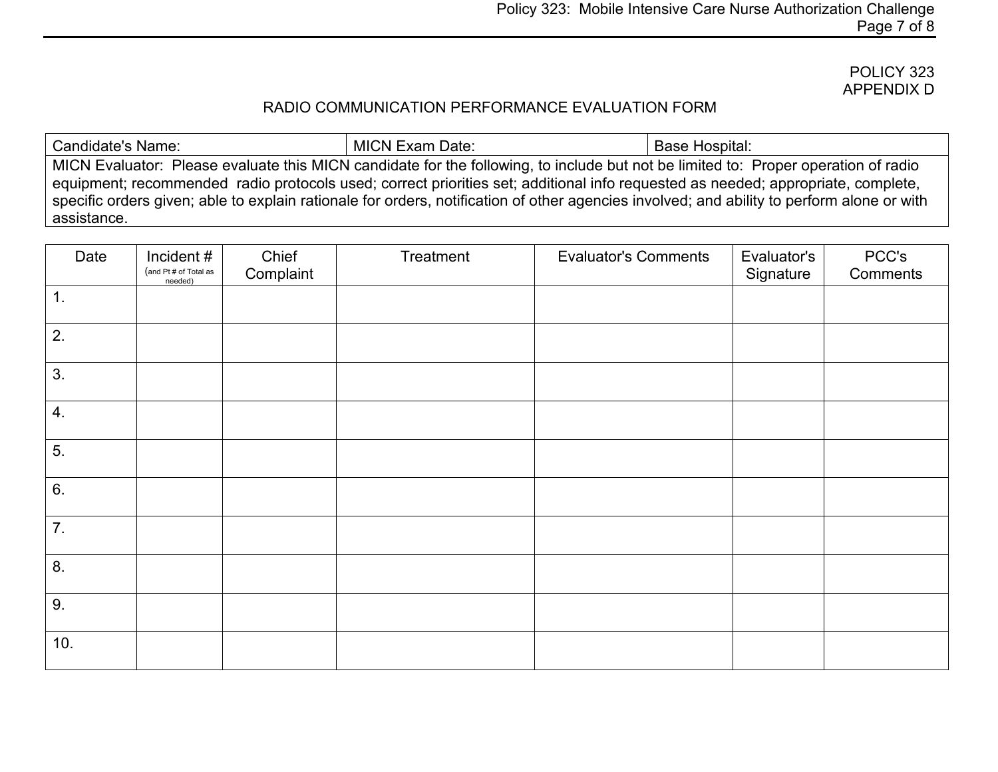# POLICY 323 APPENDIX D

## RADIO COMMUNICATION PERFORMANCE EVALUATION FORM

| Candidate's Name:                                                                                                                          | MICN Exam Date: | Base Hospital: |  |  |
|--------------------------------------------------------------------------------------------------------------------------------------------|-----------------|----------------|--|--|
| MICN Evaluator: Please evaluate this MICN candidate for the following, to include but not be limited to: Proper operation of radio         |                 |                |  |  |
| equipment; recommended radio protocols used; correct priorities set; additional info requested as needed; appropriate, complete,           |                 |                |  |  |
| specific orders given; able to explain rationale for orders, notification of other agencies involved; and ability to perform alone or with |                 |                |  |  |
| assistance.                                                                                                                                |                 |                |  |  |

| Date               | Incident #<br>(and Pt # of Total as<br>needed) | Chief<br>Complaint | Treatment | <b>Evaluator's Comments</b> | Evaluator's<br>Signature | PCC's<br>Comments |
|--------------------|------------------------------------------------|--------------------|-----------|-----------------------------|--------------------------|-------------------|
| 1.                 |                                                |                    |           |                             |                          |                   |
| 2.                 |                                                |                    |           |                             |                          |                   |
| 3.                 |                                                |                    |           |                             |                          |                   |
| $\boldsymbol{4}$ . |                                                |                    |           |                             |                          |                   |
| 5.                 |                                                |                    |           |                             |                          |                   |
| 6.                 |                                                |                    |           |                             |                          |                   |
| 7.                 |                                                |                    |           |                             |                          |                   |
| 8.                 |                                                |                    |           |                             |                          |                   |
| 9.                 |                                                |                    |           |                             |                          |                   |
| 10.                |                                                |                    |           |                             |                          |                   |